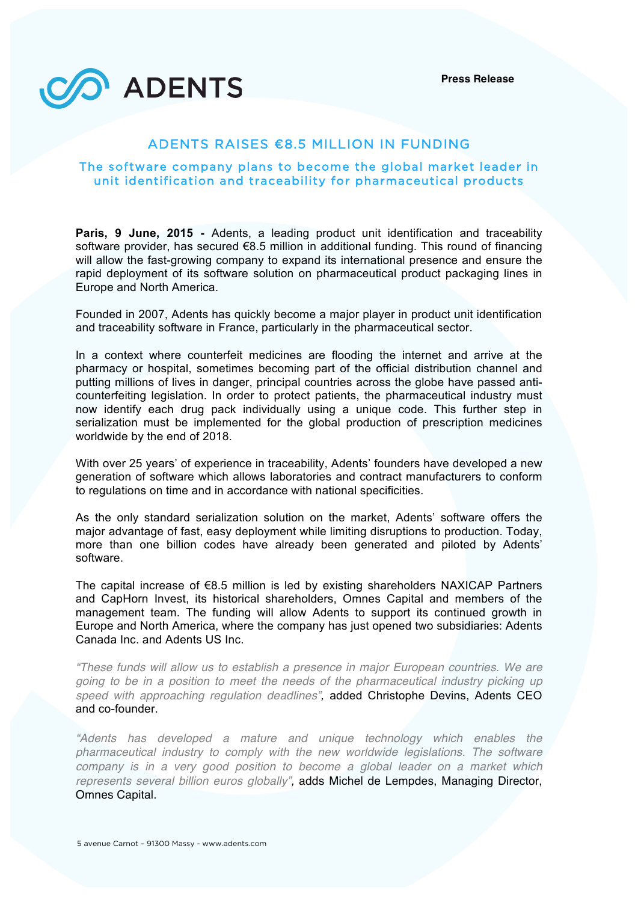**Press Release**



# ADENTS RAISES €8.5 MILLION IN FUNDING

## The software company plans to become the global market leader in unit identification and traceability for pharmaceutical products

**Paris, 9 June, 2015 -** Adents, a leading product unit identification and traceability software provider, has secured €8.5 million in additional funding. This round of financing will allow the fast-growing company to expand its international presence and ensure the rapid deployment of its software solution on pharmaceutical product packaging lines in Europe and North America.

Founded in 2007, Adents has quickly become a major player in product unit identification and traceability software in France, particularly in the pharmaceutical sector.

In a context where counterfeit medicines are flooding the internet and arrive at the pharmacy or hospital, sometimes becoming part of the official distribution channel and putting millions of lives in danger, principal countries across the globe have passed anticounterfeiting legislation. In order to protect patients, the pharmaceutical industry must now identify each drug pack individually using a unique code. This further step in serialization must be implemented for the global production of prescription medicines worldwide by the end of 2018.

With over 25 years' of experience in traceability, Adents' founders have developed a new generation of software which allows laboratories and contract manufacturers to conform to regulations on time and in accordance with national specificities.

As the only standard serialization solution on the market, Adents' software offers the major advantage of fast, easy deployment while limiting disruptions to production. Today, more than one billion codes have already been generated and piloted by Adents' software.

The capital increase of  $\epsilon$ 8.5 million is led by existing shareholders NAXICAP Partners and CapHorn Invest, its historical shareholders, Omnes Capital and members of the management team. The funding will allow Adents to support its continued growth in Europe and North America, where the company has just opened two subsidiaries: Adents Canada Inc. and Adents US Inc.

*"These funds will allow us to establish a presence in major European countries. We are going to be in a position to meet the needs of the pharmaceutical industry picking up speed with approaching regulation deadlines",* added Christophe Devins, Adents CEO and co-founder.

*"Adents has developed a mature and unique technology which enables the pharmaceutical industry to comply with the new worldwide legislations. The software company is in a very good position to become a global leader on a market which represents several billion euros globally",* adds Michel de Lempdes, Managing Director, Omnes Capital.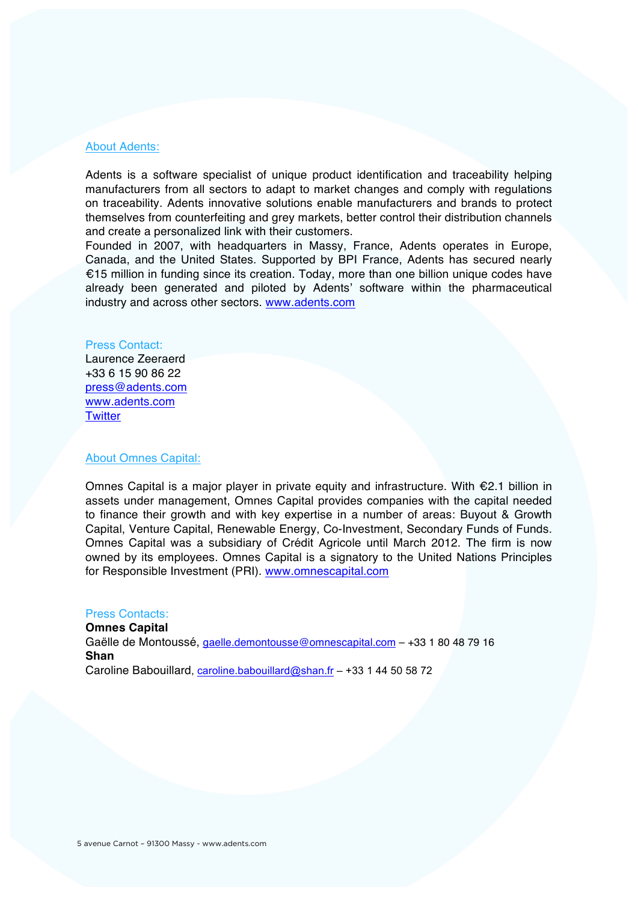### About Adents:

Adents is a software specialist of unique product identification and traceability helping manufacturers from all sectors to adapt to market changes and comply with regulations on traceability. Adents innovative solutions enable manufacturers and brands to protect themselves from counterfeiting and grey markets, better control their distribution channels and create a personalized link with their customers.

Founded in 2007, with headquarters in Massy, France, Adents operates in Europe, Canada, and the United States. Supported by BPI France, Adents has secured nearly €15 million in funding since its creation. Today, more than one billion unique codes have already been generated and piloted by Adents' software within the pharmaceutical industry and across other sectors. www.adents.com

#### Press Contact:

Laurence Zeeraerd +33 6 15 90 86 22 press@adents.com www.adents.com **Twitter** 

#### About Omnes Capital:

Omnes Capital is a major player in private equity and infrastructure. With €2.1 billion in assets under management, Omnes Capital provides companies with the capital needed to finance their growth and with key expertise in a number of areas: Buyout & Growth Capital, Venture Capital, Renewable Energy, Co-Investment, Secondary Funds of Funds. Omnes Capital was a subsidiary of Crédit Agricole until March 2012. The firm is now owned by its employees. Omnes Capital is a signatory to the United Nations Principles for Responsible Investment (PRI). www.omnescapital.com

#### Press Contacts:

**Omnes Capital**  Gaëlle de Montoussé, gaelle.demontousse@omnescapital.com – +33 1 80 48 79 16 **Shan** Caroline Babouillard, caroline.babouillard@shan.fr – +33 1 44 50 58 72